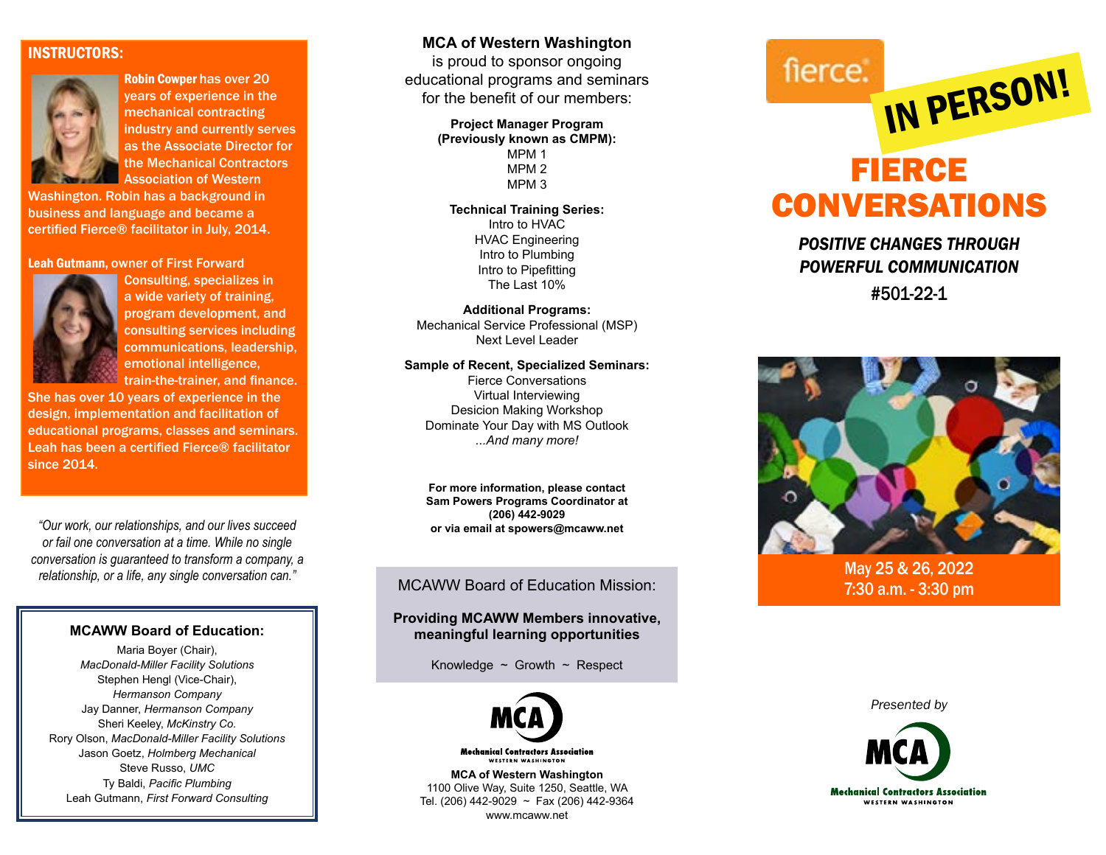### INSTRUCTORS:



Robin Cowper has over 20 years of experience in the mechanical contracting industry and currently serves as the Associate Director for the Mechanical Contractors Association of Western

Washington. Robin has a background in business and language and became a certified Fierce® facilitator in July, 2014.

### Leah Gutmann, owner of First Forward



Consulting, specializes in a wide variety of training, program development, and consulting services including communications, leadership, emotional intelligence, train-the-trainer, and finance.

She has over 10 years of experience in the design, implementation and facilitation of educational programs, classes and seminars. Leah has been a certified Fierce® facilitator since 2014.

*"Our work, our relationships, and our lives succeed or fail one conversation at a time. While no single conversation is guaranteed to transform a company, a relationship, or a life, any single conversation can."*

### **MCAWW Board of Education:**

Maria Boyer (Chair), *MacDonald-Miller Facility Solutions* Stephen Hengl (Vice-Chair), *Hermanson Company* Jay Danner, *Hermanson Company* Sheri Keeley, *McKinstry Co.* Rory Olson, *MacDonald-Miller Facility Solutions* Jason Goetz, *Holmberg Mechanical* Steve Russo, *UMC* Ty Baldi, *Pacific Plumbing* Leah Gutmann, *First Forward Consulting*

## **MCA of Western Washington**

is proud to sponsor ongoing educational programs and seminars for the benefit of our members:

### **Project Manager Program (Previously known as CMPM):**

MPM 1 MPM 2 MPM 3

**Technical Training Series:** Intro to HVAC

> HVAC Engineering Intro to Plumbing Intro to Pipefitting The Last 10%

**Additional Programs:** Mechanical Service Professional (MSP) Next Level Leader

### **Sample of Recent, Specialized Seminars:**

Fierce Conversations Virtual Interviewing Desicion Making Workshop Dominate Your Day with MS Outlook *...And many more!*

**For more information, please contact Sam Powers Programs Coordinator at (206) 442-9029 or via email at spowers@mcaww.net**

### MCAWW Board of Education Mission:

**Providing MCAWW Members innovative, meaningful learning opportunities**

Knowledge  $\sim$  Growth  $\sim$  Respect



**Mechanical Contractors Association** .<br>WESTERN WASHINGTON

**MCA of Western Washington** 1100 Olive Way, Suite 1250, Seattle, WA Tel. (206) 442-9029 ~ Fax (206) 442-9364 www.mcaww.net

# FIERCE CONVERSATIONS IN PERSON!

fierce.

# *POSITIVE CHANGES THROUGH POWERFUL COMMUNICATION*

#501-22-1



May 25 & 26, 2022 7:30 a.m. - 3:30 pm

*Presented by*